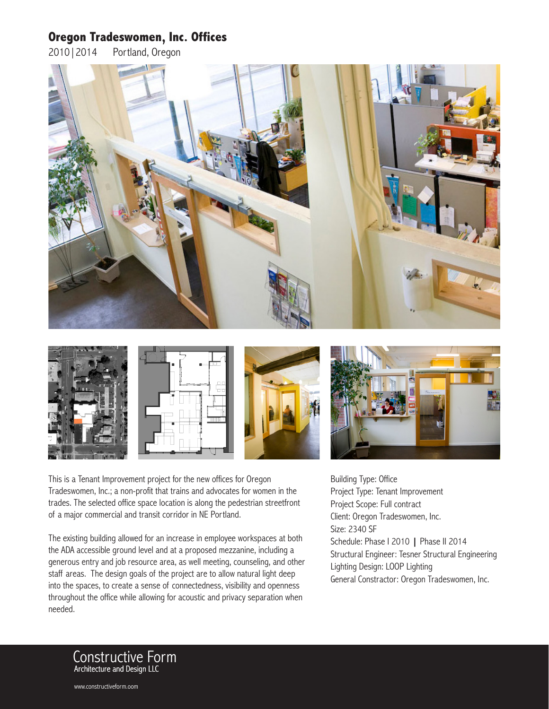## **Oregon Tradeswomen, Inc. Offices**

2010|2014 Portland, Oregon











This is a Tenant Improvement project for the new offices for Oregon Tradeswomen, Inc.; a non-profit that trains and advocates for women in the trades. The selected office space location is along the pedestrian streetfront of a major commercial and transit corridor in NE Portland.

The existing building allowed for an increase in employee workspaces at both the ADA accessible ground level and at a proposed mezzanine, including a generous entry and job resource area, as well meeting, counseling, and other staff areas. The design goals of the project are to allow natural light deep into the spaces, to create a sense of connectedness, visibility and openness throughout the office while allowing for acoustic and privacy separation when needed.

Building Type: Office Project Type: Tenant Improvement Project Scope: Full contract Client: Oregon Tradeswomen, Inc. Size: 2340 SF Schedule: Phase I 2010 **|** Phase II 2014 Structural Engineer: Tesner Structural Engineering Lighting Design: LOOP Lighting General Constractor: Oregon Tradeswomen, Inc.



www.constructiveform.oom